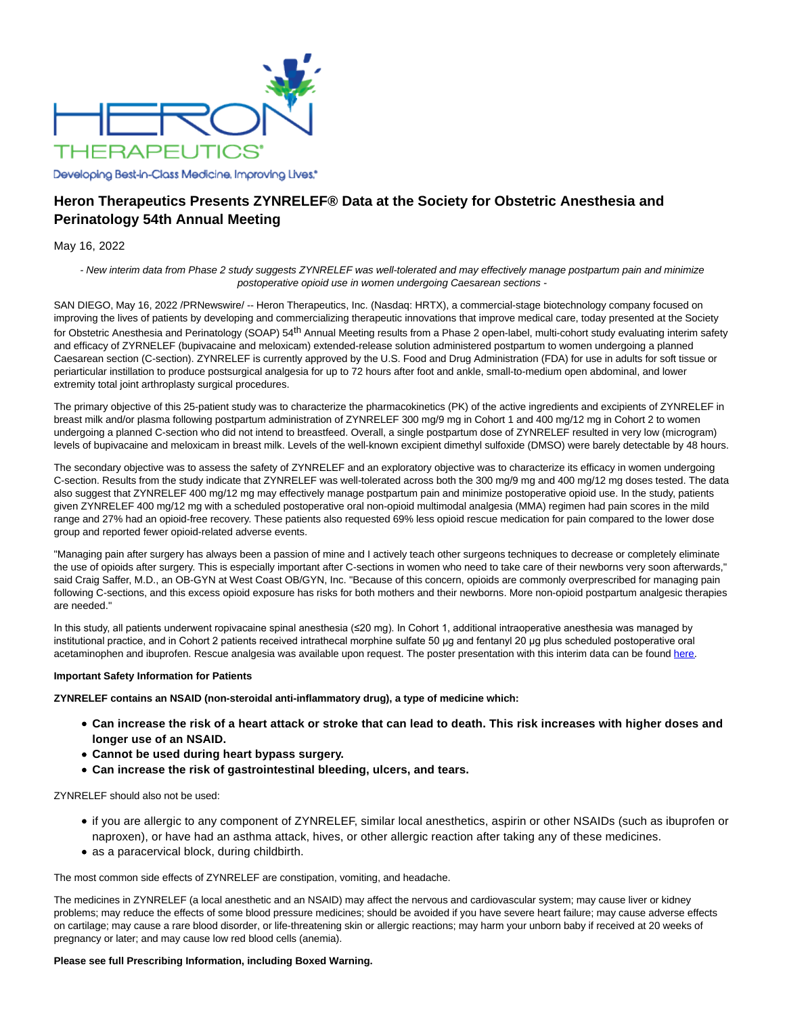

# **Heron Therapeutics Presents ZYNRELEF® Data at the Society for Obstetric Anesthesia and Perinatology 54th Annual Meeting**

## May 16, 2022

- New interim data from Phase 2 study suggests ZYNRELEF was well-tolerated and may effectively manage postpartum pain and minimize postoperative opioid use in women undergoing Caesarean sections -

SAN DIEGO, May 16, 2022 /PRNewswire/ -- Heron Therapeutics, Inc. (Nasdaq: HRTX), a commercial-stage biotechnology company focused on improving the lives of patients by developing and commercializing therapeutic innovations that improve medical care, today presented at the Society for Obstetric Anesthesia and Perinatology (SOAP) 54<sup>th</sup> Annual Meeting results from a Phase 2 open-label, multi-cohort study evaluating interim safety and efficacy of ZYRNELEF (bupivacaine and meloxicam) extended-release solution administered postpartum to women undergoing a planned Caesarean section (C-section). ZYNRELEF is currently approved by the U.S. Food and Drug Administration (FDA) for use in adults for soft tissue or periarticular instillation to produce postsurgical analgesia for up to 72 hours after foot and ankle, small-to-medium open abdominal, and lower extremity total joint arthroplasty surgical procedures.

The primary objective of this 25-patient study was to characterize the pharmacokinetics (PK) of the active ingredients and excipients of ZYNRELEF in breast milk and/or plasma following postpartum administration of ZYNRELEF 300 mg/9 mg in Cohort 1 and 400 mg/12 mg in Cohort 2 to women undergoing a planned C-section who did not intend to breastfeed. Overall, a single postpartum dose of ZYNRELEF resulted in very low (microgram) levels of bupivacaine and meloxicam in breast milk. Levels of the well-known excipient dimethyl sulfoxide (DMSO) were barely detectable by 48 hours.

The secondary objective was to assess the safety of ZYNRELEF and an exploratory objective was to characterize its efficacy in women undergoing C-section. Results from the study indicate that ZYNRELEF was well-tolerated across both the 300 mg/9 mg and 400 mg/12 mg doses tested. The data also suggest that ZYNRELEF 400 mg/12 mg may effectively manage postpartum pain and minimize postoperative opioid use. In the study, patients given ZYNRELEF 400 mg/12 mg with a scheduled postoperative oral non-opioid multimodal analgesia (MMA) regimen had pain scores in the mild range and 27% had an opioid-free recovery. These patients also requested 69% less opioid rescue medication for pain compared to the lower dose group and reported fewer opioid-related adverse events.

"Managing pain after surgery has always been a passion of mine and I actively teach other surgeons techniques to decrease or completely eliminate the use of opioids after surgery. This is especially important after C-sections in women who need to take care of their newborns very soon afterwards," said Craig Saffer, M.D., an OB-GYN at West Coast OB/GYN, Inc. "Because of this concern, opioids are commonly overprescribed for managing pain following C-sections, and this excess opioid exposure has risks for both mothers and their newborns. More non-opioid postpartum analgesic therapies are needed."

In this study, all patients underwent ropivacaine spinal anesthesia (≤20 mg). In Cohort 1, additional intraoperative anesthesia was managed by institutional practice, and in Cohort 2 patients received intrathecal morphine sulfate 50 μg and fentanyl 20 μg plus scheduled postoperative oral acetaminophen and ibuprofen. Rescue analgesia was available upon request. The poster presentation with this interim data can be found [here.](https://c212.net/c/link/?t=0&l=en&o=3538556-1&h=1928915405&u=https%3A%2F%2Fwww.herontx.com%2Fwp-content%2Fuploads%2F2022%2F05%2FSOAP-Poster-2022_FINAL.pdf&a=here)

#### **Important Safety Information for Patients**

**ZYNRELEF contains an NSAID (non-steroidal anti-inflammatory drug), a type of medicine which:**

- **Can increase the risk of a heart attack or stroke that can lead to death. This risk increases with higher doses and longer use of an NSAID.**
- **Cannot be used during heart bypass surgery.**
- **Can increase the risk of gastrointestinal bleeding, ulcers, and tears.**

ZYNRELEF should also not be used:

- if you are allergic to any component of ZYNRELEF, similar local anesthetics, aspirin or other NSAIDs (such as ibuprofen or naproxen), or have had an asthma attack, hives, or other allergic reaction after taking any of these medicines.
- as a paracervical block, during childbirth.

The most common side effects of ZYNRELEF are constipation, vomiting, and headache.

The medicines in ZYNRELEF (a local anesthetic and an NSAID) may affect the nervous and cardiovascular system; may cause liver or kidney problems; may reduce the effects of some blood pressure medicines; should be avoided if you have severe heart failure; may cause adverse effects on cartilage; may cause a rare blood disorder, or life-threatening skin or allergic reactions; may harm your unborn baby if received at 20 weeks of pregnancy or later; and may cause low red blood cells (anemia).

#### **Please see full Prescribing Information, including Boxed Warning.**